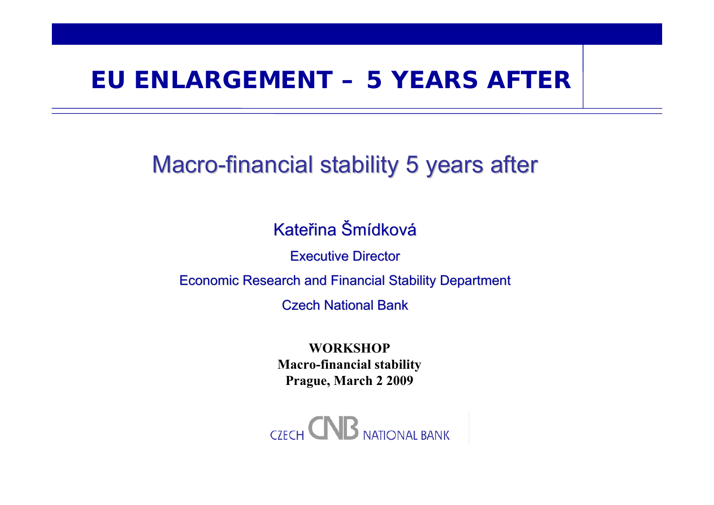#### **EU ENLARGEMENT – 5 YEARS AFTER**

#### Macro-financial stability 5 years after

Kateřina Šmídková

**Executive Director** 

Economic Research and Financial Stability Department

Czech National Bank

**WORKSHOPMacro-financial stability Prague, March 2 2009**

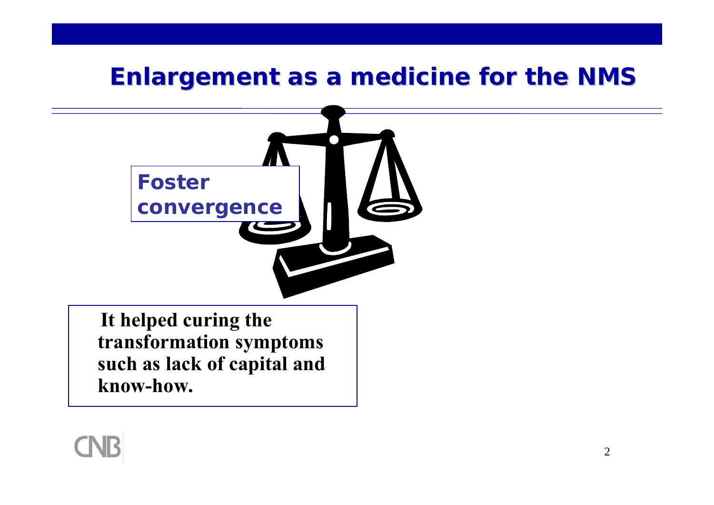

**It helped curing the transformation symptoms such as lack of capital and know-how.**

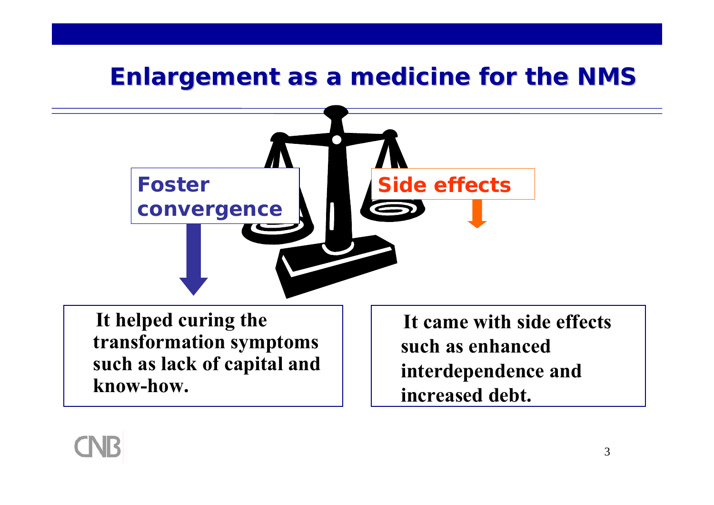

**It helped curing the transformation symptoms such as lack of capital and know-how.**

**It came with side effects such as enhanced interdependence and increased debt.**

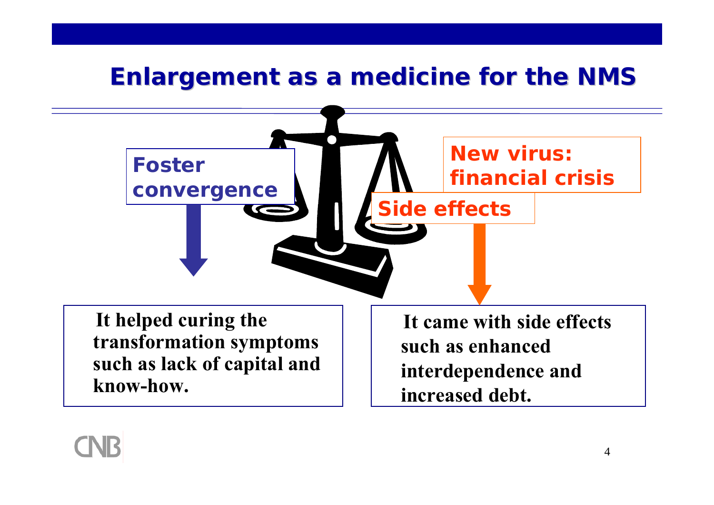

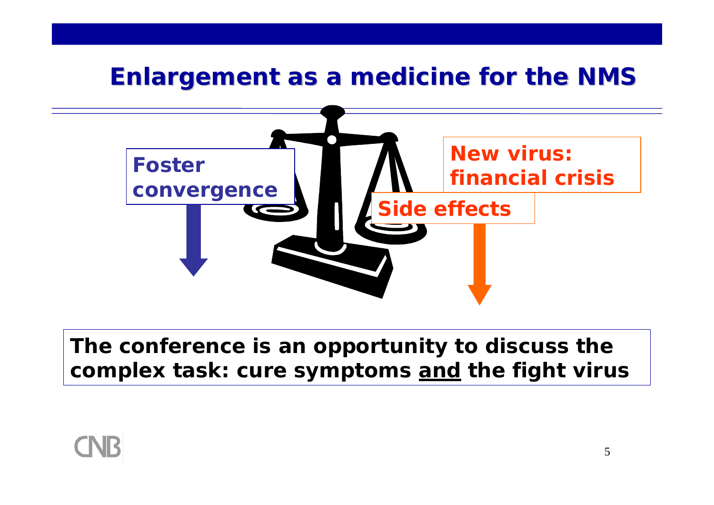

**The conference is an opportunity to discuss the complex task: cure symptoms and the fight virus**

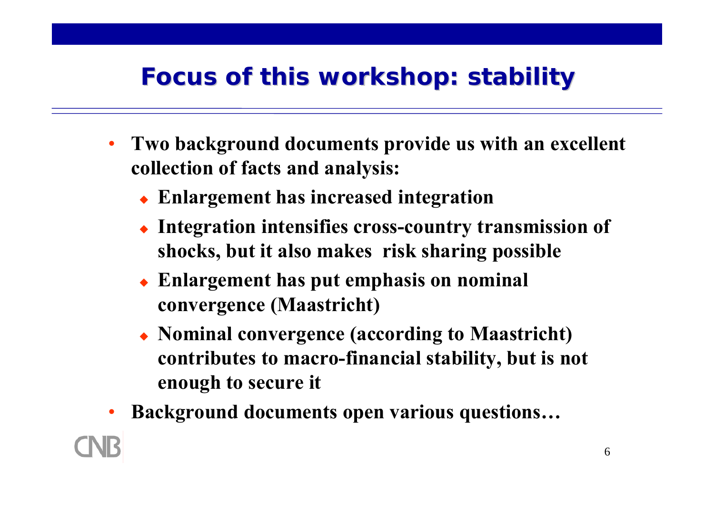## **Focus of this workshop: stability Focus of this workshop: stability**

- **Two background documents provide us with an excellent collection of facts and analysis:**
	- **Enlargement has increased integration**
	- **Integration intensifies cross-country transmission of shocks, but it also makes risk sharing possible**
	- **Enlargement has put emphasis on nominal convergence (Maastricht)**
	- **Nominal convergence (according to Maastricht) contributes to macro-financial stability, but is not enough to secure it**
- •**Background documents open various questions…**

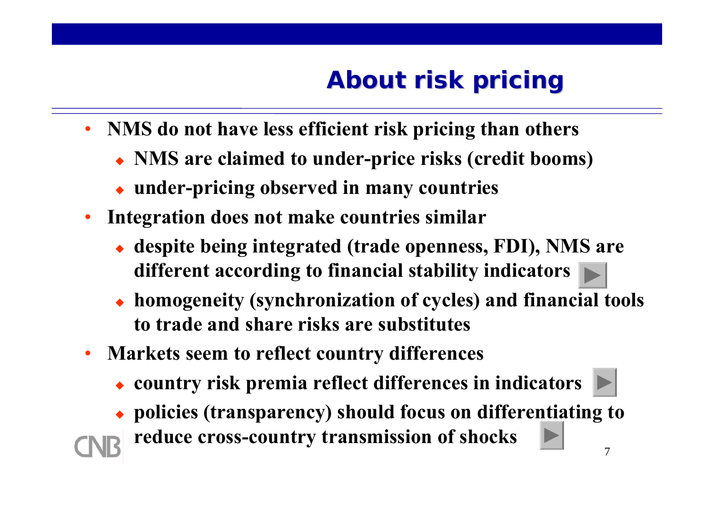- **NMS do not have less efficient risk pricing than others** 
	- **NMS are claimed to under-price risks (credit booms)**
	- **under-pricing observed in many countries**
- **Integration does not make countries similar**
	- **despite being integrated (trade openness, FDI), NMS are different according to financial stability indicators**
	- ◆ **homogeneity (synchronization of cycles) and financial tools to trade and share risks are substitutes**
- • **Markets seem to reflect country differences**
	- **country risk premia reflect differences in indicators**
	- **policies (transparency) should focus on differentiating to reduce cross-country transmission of shocks**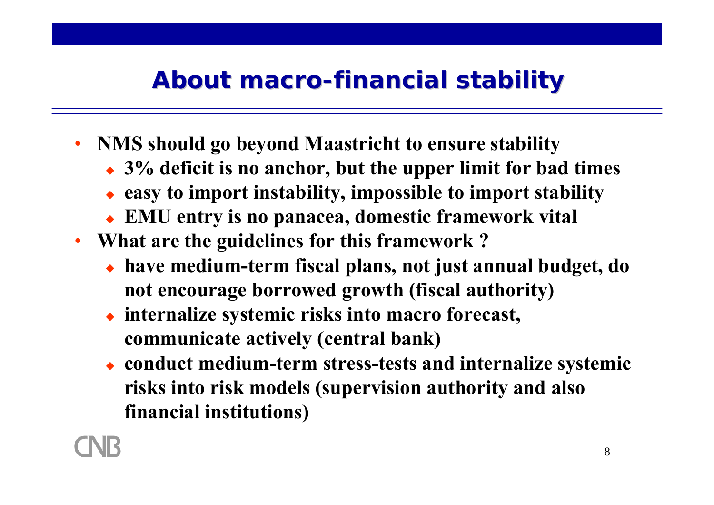## **About macro-financial financial stability stability**

- **NMS should go beyond Maastricht to ensure stability**
	- **3% deficit is no anchor, but the upper limit for bad times**
	- **easy to import instability, impossible to import stability**
	- **EMU entry is no panacea, domestic framework vital**
- **What are the guidelines for this framework ?**
	- **have medium-term fiscal plans, not just annual budget, do not encourage borrowed growth (fiscal authority)**
	- ♦ **internalize systemic risks into macro forecast, communicate actively (central bank)**
	- **conduct medium-term stress-tests and internalize systemic risks into risk models (supervision authority and also financial institutions)**

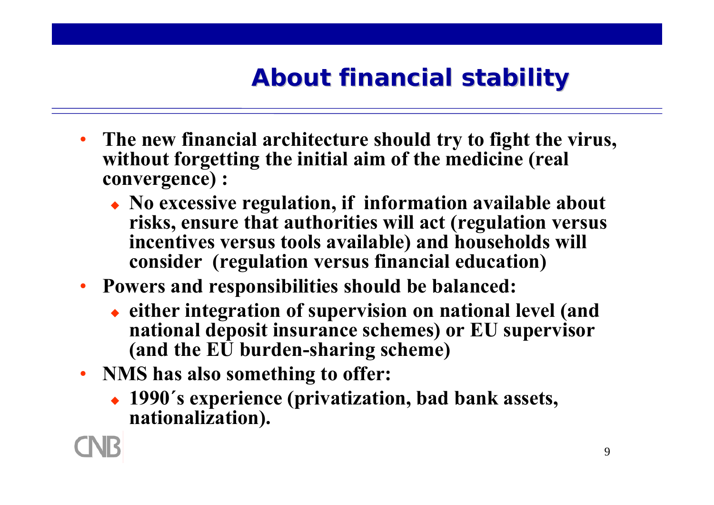# **About financial stability About financial stability**

- **The new financial architecture should try to fight the virus, without forgetting the initial aim of the medicine (real convergence) :**
	- **No excessive regulation, if information available about risks, ensure that authorities will act (regulation versus incentives versus tools available) and households will consider (regulation versus financial education)**
- **Powers and responsibilities should be balanced:**
	- **either integration of supervision on national level (and national deposit insurance schemes) or EU supervisor (and the EU burden-sharing scheme)**
- **NMS has also something to offer:**
	- **1990´s experience (privatization, bad bank assets, nationalization).**

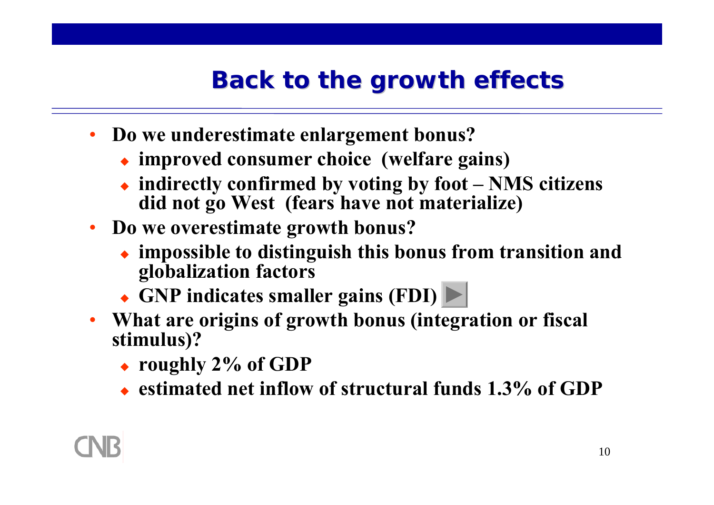## **Back to the growth effects Back to the growth effects**

- • **Do we underestimate enlargement bonus?**
	- **improved consumer choice (welfare gains)**
	- **indirectly confirmed by voting by foot – NMS citizens did not go West (fears have not materialize)**
- **Do we overestimate growth bonus?**
	- **impossible to distinguish this bonus from transition and globalization factors**
	- **GNP indicates smaller gains (FDI)**
- **What are origins of growth bonus (integration or fiscal stimulus)?**
	- **roughly 2% of GDP**
	- **estimated net inflow of structural funds 1.3% of GDP**

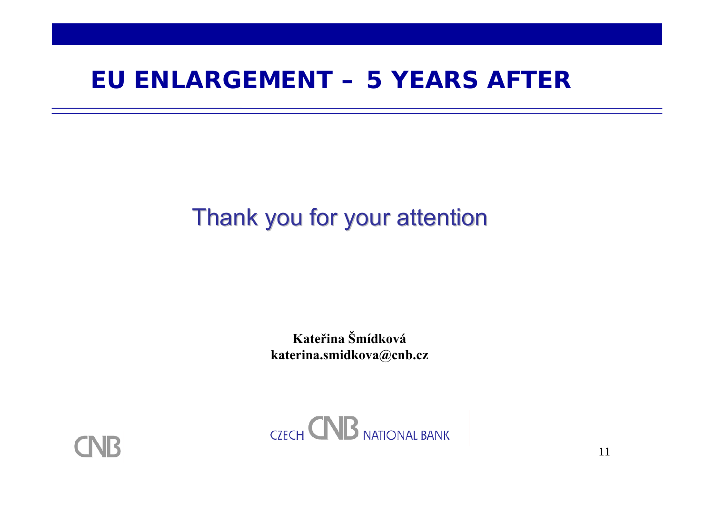#### **EU ENLARGEMENT – 5 YEARS AFTER**

## Thank you for your attention

**Kateřina Šmídkovákaterina.smidkova@cnb.cz**



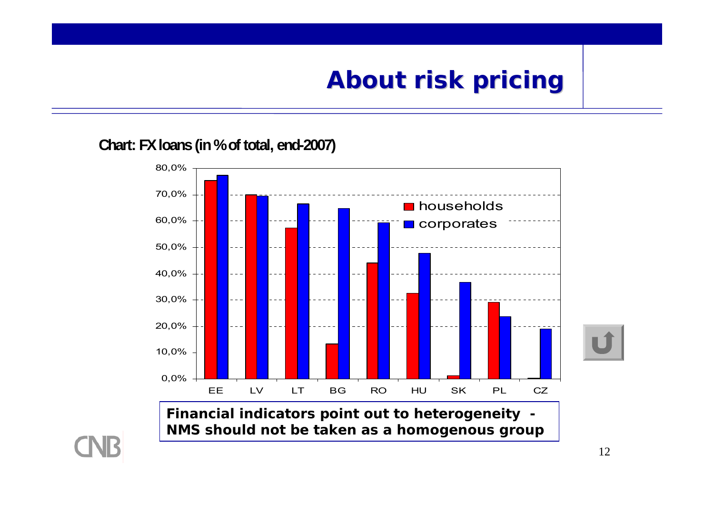**Chart: FX loans (in % of total, end-2007)**



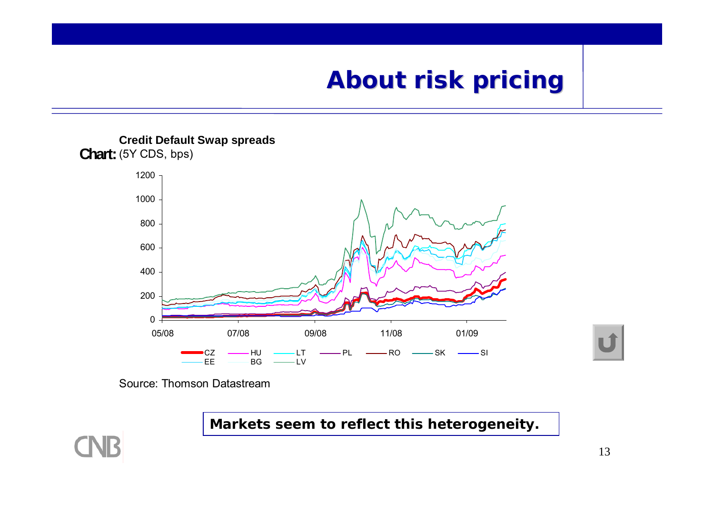

Source: Thomson Datastream

**Markets seem to reflect this heterogeneity.**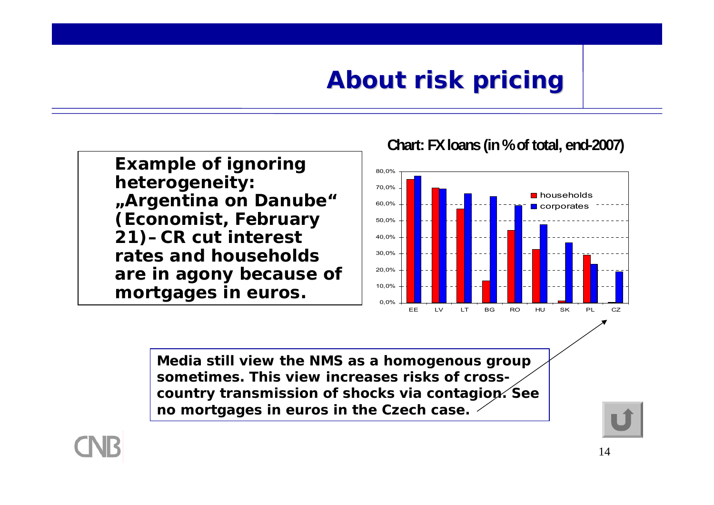**Example of ignoring heterogeneity: "Argentina on Danube" (Economist, February 21)–CR cut interest rates and households are in agony because of mortgages in euros.**

**Chart: FX loans (in % of total, end-2007)**



**Media still view the NMS as a homogenous group sometimes. This view increases risks of crosscountry transmission of shocks via contagion. See no mortgages in euros in the Czech case.**